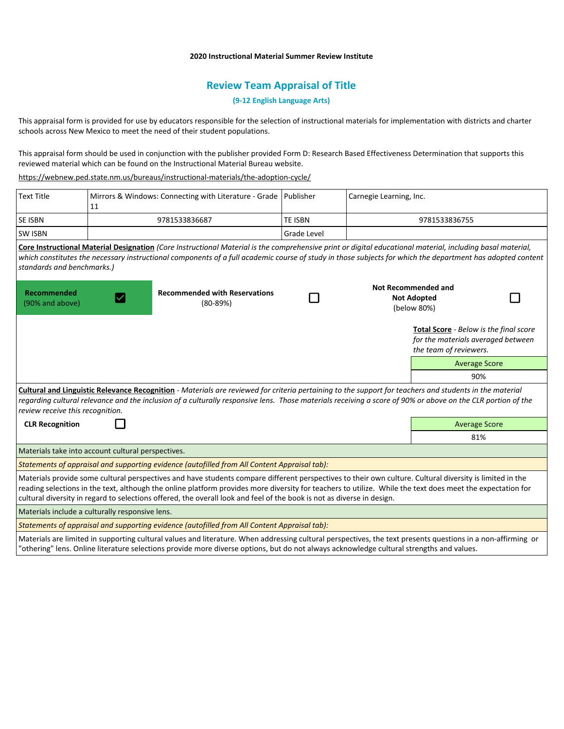## **2020 Instructional Material Summer Review Institute**

# **Review Team Appraisal of Title**

## **(9-12 English Language Arts)**

This appraisal form is provided for use by educators responsible for the selection of instructional materials for implementation with districts and charter schools across New Mexico to meet the need of their student populations.

This appraisal form should be used in conjunction with the publisher provided Form D: Research Based Effectiveness Determination that supports this reviewed material which can be found on the Instructional Material Bureau website.

<https://webnew.ped.state.nm.us/bureaus/instructional-materials/the-adoption-cycle/>

| <b>Text Title</b>                                                                                                                                                                                                                                                                                                                                                                                                                                | Mirrors & Windows: Connecting with Literature - Grade   Publisher<br>11 |                | Carnegie Learning, Inc.                                                                                |
|--------------------------------------------------------------------------------------------------------------------------------------------------------------------------------------------------------------------------------------------------------------------------------------------------------------------------------------------------------------------------------------------------------------------------------------------------|-------------------------------------------------------------------------|----------------|--------------------------------------------------------------------------------------------------------|
| SE ISBN                                                                                                                                                                                                                                                                                                                                                                                                                                          | 9781533836687                                                           | <b>TE ISBN</b> | 9781533836755                                                                                          |
| <b>SW ISBN</b>                                                                                                                                                                                                                                                                                                                                                                                                                                   |                                                                         | Grade Level    |                                                                                                        |
| Core Instructional Material Designation (Core Instructional Material is the comprehensive print or digital educational material, including basal material,<br>which constitutes the necessary instructional components of a full academic course of study in those subjects for which the department has adopted content<br>standards and benchmarks.)                                                                                           |                                                                         |                |                                                                                                        |
| Recommended<br>(90% and above)                                                                                                                                                                                                                                                                                                                                                                                                                   | <b>Recommended with Reservations</b><br>$(80 - 89%)$                    |                | <b>Not Recommended and</b><br><b>Not Adopted</b><br>(below 80%)                                        |
|                                                                                                                                                                                                                                                                                                                                                                                                                                                  |                                                                         |                | Total Score - Below is the final score<br>for the materials averaged between<br>the team of reviewers. |
|                                                                                                                                                                                                                                                                                                                                                                                                                                                  |                                                                         |                | <b>Average Score</b>                                                                                   |
|                                                                                                                                                                                                                                                                                                                                                                                                                                                  |                                                                         |                | 90%                                                                                                    |
| Cultural and Linguistic Relevance Recognition - Materials are reviewed for criteria pertaining to the support for teachers and students in the material<br>regarding cultural relevance and the inclusion of a culturally responsive lens. Those materials receiving a score of 90% or above on the CLR portion of the<br>review receive this recognition.                                                                                       |                                                                         |                |                                                                                                        |
| <b>CLR Recognition</b>                                                                                                                                                                                                                                                                                                                                                                                                                           |                                                                         |                | <b>Average Score</b>                                                                                   |
|                                                                                                                                                                                                                                                                                                                                                                                                                                                  |                                                                         |                | 81%                                                                                                    |
| Materials take into account cultural perspectives.                                                                                                                                                                                                                                                                                                                                                                                               |                                                                         |                |                                                                                                        |
| Statements of appraisal and supporting evidence (autofilled from All Content Appraisal tab):                                                                                                                                                                                                                                                                                                                                                     |                                                                         |                |                                                                                                        |
| Materials provide some cultural perspectives and have students compare different perspectives to their own culture. Cultural diversity is limited in the<br>reading selections in the text, although the online platform provides more diversity for teachers to utilize. While the text does meet the expectation for<br>cultural diversity in regard to selections offered, the overall look and feel of the book is not as diverse in design. |                                                                         |                |                                                                                                        |
| Materials include a culturally responsive lens.                                                                                                                                                                                                                                                                                                                                                                                                  |                                                                         |                |                                                                                                        |
| Statements of appraisal and supporting evidence (autofilled from All Content Appraisal tab):                                                                                                                                                                                                                                                                                                                                                     |                                                                         |                |                                                                                                        |
| Materials are limited in supporting cultural values and literature. When addressing cultural perspectives, the text presents questions in a non-affirming or<br>"othering" lens. Online literature selections provide more diverse options, but do not always acknowledge cultural strengths and values.                                                                                                                                         |                                                                         |                |                                                                                                        |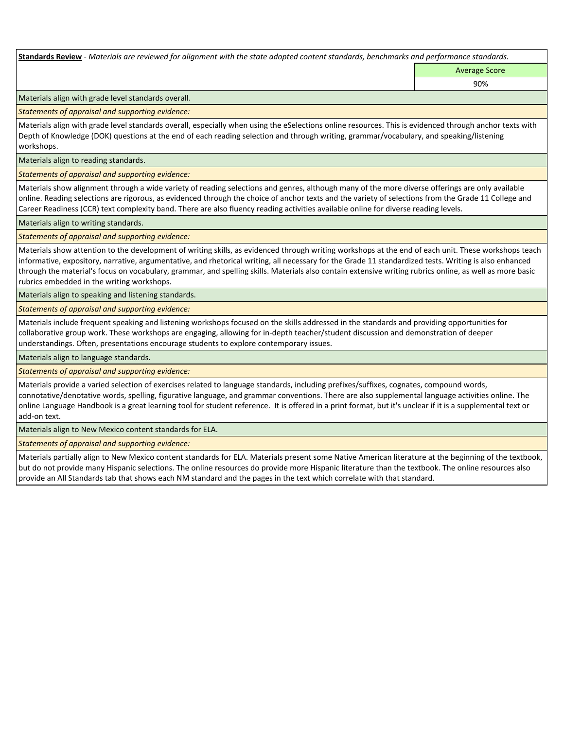**Standards Review** *- Materials are reviewed for alignment with the state adopted content standards, benchmarks and performance standards.*

Average Score 90%

Materials align with grade level standards overall.

*Statements of appraisal and supporting evidence:* 

Materials align with grade level standards overall, especially when using the eSelections online resources. This is evidenced through anchor texts with Depth of Knowledge (DOK) questions at the end of each reading selection and through writing, grammar/vocabulary, and speaking/listening workshops.

Materials align to reading standards.

*Statements of appraisal and supporting evidence:* 

Materials show alignment through a wide variety of reading selections and genres, although many of the more diverse offerings are only available online. Reading selections are rigorous, as evidenced through the choice of anchor texts and the variety of selections from the Grade 11 College and Career Readiness (CCR) text complexity band. There are also fluency reading activities available online for diverse reading levels.

Materials align to writing standards.

*Statements of appraisal and supporting evidence:* 

Materials show attention to the development of writing skills, as evidenced through writing workshops at the end of each unit. These workshops teach informative, expository, narrative, argumentative, and rhetorical writing, all necessary for the Grade 11 standardized tests. Writing is also enhanced through the material's focus on vocabulary, grammar, and spelling skills. Materials also contain extensive writing rubrics online, as well as more basic rubrics embedded in the writing workshops.

Materials align to speaking and listening standards.

*Statements of appraisal and supporting evidence:* 

Materials include frequent speaking and listening workshops focused on the skills addressed in the standards and providing opportunities for collaborative group work. These workshops are engaging, allowing for in-depth teacher/student discussion and demonstration of deeper understandings. Often, presentations encourage students to explore contemporary issues.

Materials align to language standards.

*Statements of appraisal and supporting evidence:* 

Materials provide a varied selection of exercises related to language standards, including prefixes/suffixes, cognates, compound words, connotative/denotative words, spelling, figurative language, and grammar conventions. There are also supplemental language activities online. The online Language Handbook is a great learning tool for student reference. It is offered in a print format, but it's unclear if it is a supplemental text or add-on text.

Materials align to New Mexico content standards for ELA.

*Statements of appraisal and supporting evidence:* 

Materials partially align to New Mexico content standards for ELA. Materials present some Native American literature at the beginning of the textbook, but do not provide many Hispanic selections. The online resources do provide more Hispanic literature than the textbook. The online resources also provide an All Standards tab that shows each NM standard and the pages in the text which correlate with that standard.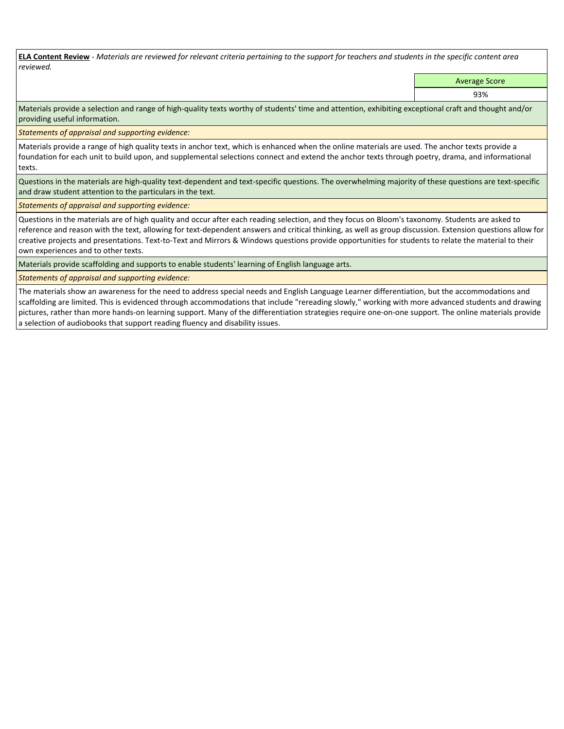**ELA Content Review** *- Materials are reviewed for relevant criteria pertaining to the support for teachers and students in the specific content area reviewed.*

Average Score

93%

Materials provide a selection and range of high-quality texts worthy of students' time and attention, exhibiting exceptional craft and thought and/or providing useful information.

*Statements of appraisal and supporting evidence:* 

Materials provide a range of high quality texts in anchor text, which is enhanced when the online materials are used. The anchor texts provide a foundation for each unit to build upon, and supplemental selections connect and extend the anchor texts through poetry, drama, and informational texts.

Questions in the materials are high-quality text-dependent and text-specific questions. The overwhelming majority of these questions are text-specific and draw student attention to the particulars in the text.

*Statements of appraisal and supporting evidence:* 

Questions in the materials are of high quality and occur after each reading selection, and they focus on Bloom's taxonomy. Students are asked to reference and reason with the text, allowing for text-dependent answers and critical thinking, as well as group discussion. Extension questions allow for creative projects and presentations. Text-to-Text and Mirrors & Windows questions provide opportunities for students to relate the material to their own experiences and to other texts.

Materials provide scaffolding and supports to enable students' learning of English language arts.

*Statements of appraisal and supporting evidence:* 

The materials show an awareness for the need to address special needs and English Language Learner differentiation, but the accommodations and scaffolding are limited. This is evidenced through accommodations that include "rereading slowly," working with more advanced students and drawing pictures, rather than more hands-on learning support. Many of the differentiation strategies require one-on-one support. The online materials provide a selection of audiobooks that support reading fluency and disability issues.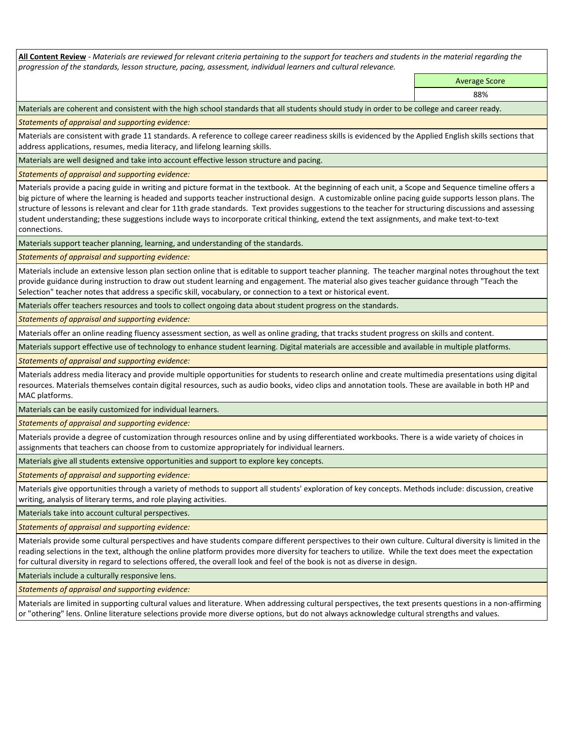**All Content Review** *- Materials are reviewed for relevant criteria pertaining to the support for teachers and students in the material regarding the progression of the standards, lesson structure, pacing, assessment, individual learners and cultural relevance.*

Average Score

88%

Materials are coherent and consistent with the high school standards that all students should study in order to be college and career ready.

*Statements of appraisal and supporting evidence:*

Materials are consistent with grade 11 standards. A reference to college career readiness skills is evidenced by the Applied English skills sections that address applications, resumes, media literacy, and lifelong learning skills.

Materials are well designed and take into account effective lesson structure and pacing.

*Statements of appraisal and supporting evidence:*

Materials provide a pacing guide in writing and picture format in the textbook. At the beginning of each unit, a Scope and Sequence timeline offers a big picture of where the learning is headed and supports teacher instructional design. A customizable online pacing guide supports lesson plans. The structure of lessons is relevant and clear for 11th grade standards. Text provides suggestions to the teacher for structuring discussions and assessing student understanding; these suggestions include ways to incorporate critical thinking, extend the text assignments, and make text-to-text connections.

Materials support teacher planning, learning, and understanding of the standards.

*Statements of appraisal and supporting evidence:*

Materials include an extensive lesson plan section online that is editable to support teacher planning. The teacher marginal notes throughout the text provide guidance during instruction to draw out student learning and engagement. The material also gives teacher guidance through "Teach the Selection" teacher notes that address a specific skill, vocabulary, or connection to a text or historical event.

Materials offer teachers resources and tools to collect ongoing data about student progress on the standards.

*Statements of appraisal and supporting evidence:*

Materials offer an online reading fluency assessment section, as well as online grading, that tracks student progress on skills and content.

Materials support effective use of technology to enhance student learning. Digital materials are accessible and available in multiple platforms.

*Statements of appraisal and supporting evidence:*

Materials address media literacy and provide multiple opportunities for students to research online and create multimedia presentations using digital resources. Materials themselves contain digital resources, such as audio books, video clips and annotation tools. These are available in both HP and MAC platforms.

Materials can be easily customized for individual learners.

*Statements of appraisal and supporting evidence:* 

Materials provide a degree of customization through resources online and by using differentiated workbooks. There is a wide variety of choices in assignments that teachers can choose from to customize appropriately for individual learners.

Materials give all students extensive opportunities and support to explore key concepts.

*Statements of appraisal and supporting evidence:*

Materials give opportunities through a variety of methods to support all students' exploration of key concepts. Methods include: discussion, creative writing, analysis of literary terms, and role playing activities.

Materials take into account cultural perspectives.

*Statements of appraisal and supporting evidence:*

Materials provide some cultural perspectives and have students compare different perspectives to their own culture. Cultural diversity is limited in the reading selections in the text, although the online platform provides more diversity for teachers to utilize. While the text does meet the expectation for cultural diversity in regard to selections offered, the overall look and feel of the book is not as diverse in design.

Materials include a culturally responsive lens.

*Statements of appraisal and supporting evidence:*

Materials are limited in supporting cultural values and literature. When addressing cultural perspectives, the text presents questions in a non-affirming or "othering" lens. Online literature selections provide more diverse options, but do not always acknowledge cultural strengths and values.